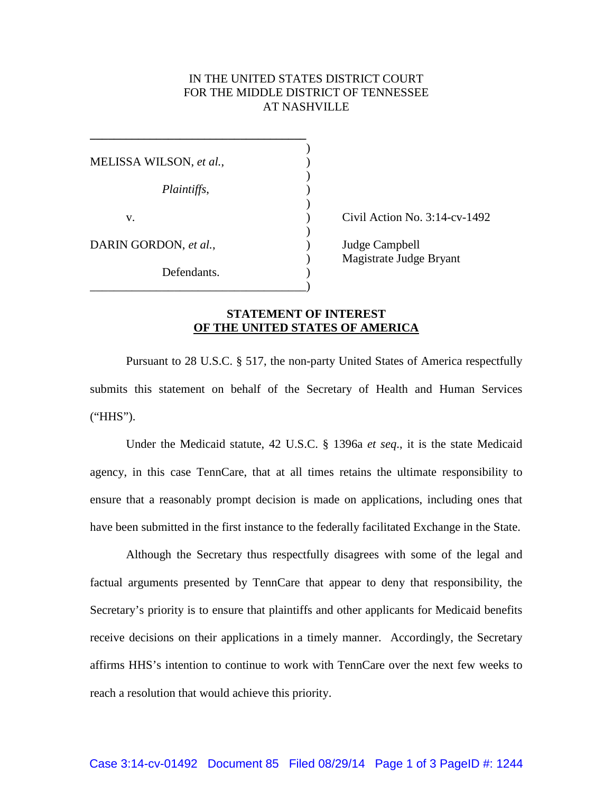## IN THE UNITED STATES DISTRICT COURT FOR THE MIDDLE DISTRICT OF TENNESSEE AT NASHVILLE

| MELISSA WILSON, et al., |  |
|-------------------------|--|
|                         |  |
| Plaintiffs,             |  |
| v.                      |  |
| DARIN GORDON, et al.,   |  |
| Defendants.             |  |
|                         |  |

**\_\_\_\_\_\_\_\_\_\_\_\_\_\_\_\_\_\_\_\_\_\_\_\_\_\_\_\_\_\_\_\_\_\_\_\_**

 $\vee$  Civil Action No. 3:14-cv-1492

) Judge Campbell ) Magistrate Judge Bryant

## **STATEMENT OF INTEREST OF THE UNITED STATES OF AMERICA**

Pursuant to 28 U.S.C. § 517, the non-party United States of America respectfully submits this statement on behalf of the Secretary of Health and Human Services ("HHS").

Under the Medicaid statute, 42 U.S.C. § 1396a *et seq*., it is the state Medicaid agency, in this case TennCare, that at all times retains the ultimate responsibility to ensure that a reasonably prompt decision is made on applications, including ones that have been submitted in the first instance to the federally facilitated Exchange in the State.

Although the Secretary thus respectfully disagrees with some of the legal and factual arguments presented by TennCare that appear to deny that responsibility, the Secretary's priority is to ensure that plaintiffs and other applicants for Medicaid benefits receive decisions on their applications in a timely manner. Accordingly, the Secretary affirms HHS's intention to continue to work with TennCare over the next few weeks to reach a resolution that would achieve this priority.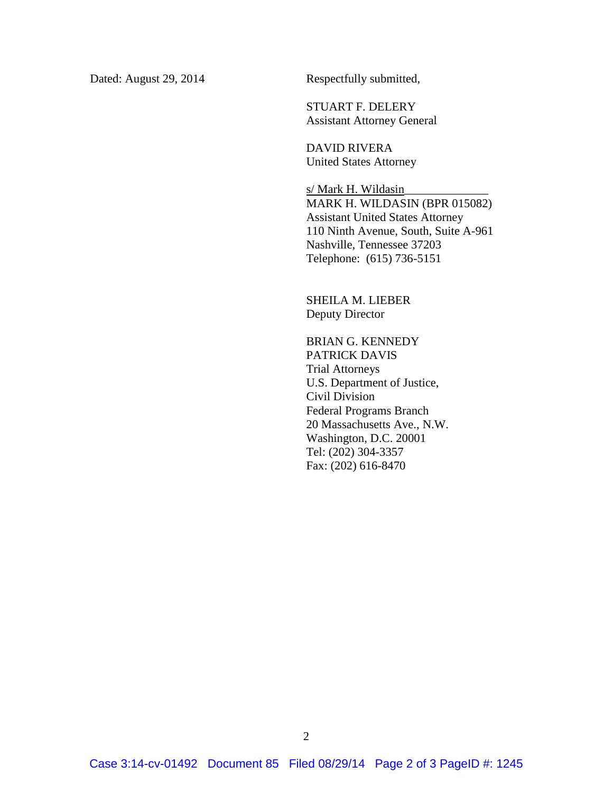Dated: August 29, 2014 Respectfully submitted,

STUART F. DELERY Assistant Attorney General

DAVID RIVERA United States Attorney

s/ Mark H. Wildasin MARK H. WILDASIN (BPR 015082) Assistant United States Attorney 110 Ninth Avenue, South, Suite A-961 Nashville, Tennessee 37203 Telephone: (615) 736-5151

SHEILA M. LIEBER Deputy Director

BRIAN G. KENNEDY PATRICK DAVIS Trial Attorneys U.S. Department of Justice, Civil Division Federal Programs Branch 20 Massachusetts Ave., N.W. Washington, D.C. 20001 Tel: (202) 304-3357 Fax: (202) 616-8470